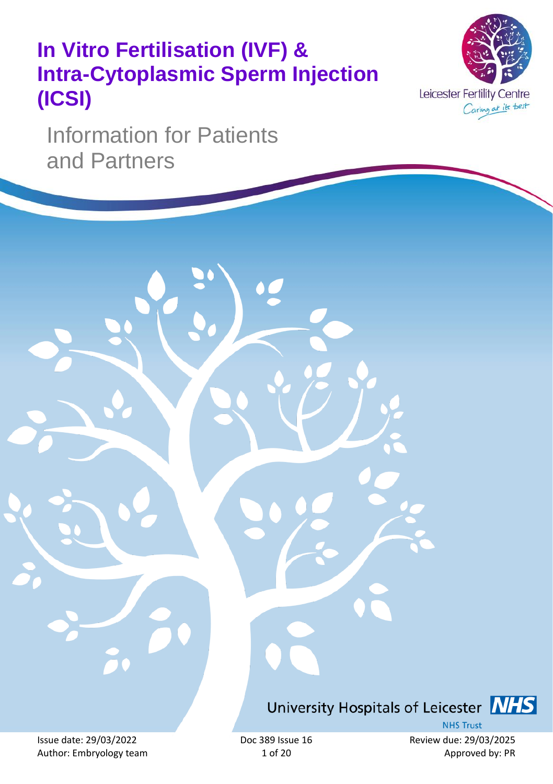# **In Vitro Fertilisation (IVF) & Intra-Cytoplasmic Sperm Injection (ICSI)**



Information for Patients and Partners

University Hospitals of Leicester **NHS** 

Author: Embryology team 1 of 20 Approved by: PR

**NHS Trust** Issue date: 29/03/2022 Doc 389 Issue 16 Review due: 29/03/2025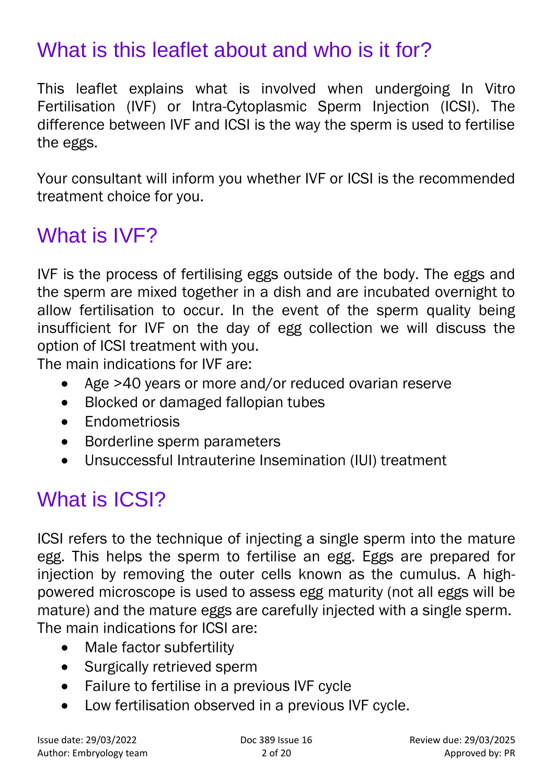# What is this leaflet about and who is it for?

This leaflet explains what is involved when undergoing In Vitro Fertilisation (IVF) or Intra-Cytoplasmic Sperm Injection (ICSI). The difference between IVF and ICSI is the way the sperm is used to fertilise the eggs.

Your consultant will inform you whether IVF or ICSI is the recommended treatment choice for you.

### What is IVF?

IVF is the process of fertilising eggs outside of the body. The eggs and the sperm are mixed together in a dish and are incubated overnight to allow fertilisation to occur. In the event of the sperm quality being insufficient for IVF on the day of egg collection we will discuss the option of ICSI treatment with you.

The main indications for IVF are:

- Age >40 years or more and/or reduced ovarian reserve
- Blocked or damaged fallopian tubes
- Endometriosis
- Borderline sperm parameters
- Unsuccessful Intrauterine Insemination (IUI) treatment

# What is **ICSI?**

ICSI refers to the technique of injecting a single sperm into the mature egg. This helps the sperm to fertilise an egg. Eggs are prepared for injection by removing the outer cells known as the cumulus. A highpowered microscope is used to assess egg maturity (not all eggs will be mature) and the mature eggs are carefully injected with a single sperm. The main indications for ICSI are:

- Male factor subfertility
- Surgically retrieved sperm
- Failure to fertilise in a previous IVF cycle
- Low fertilisation observed in a previous IVF cycle.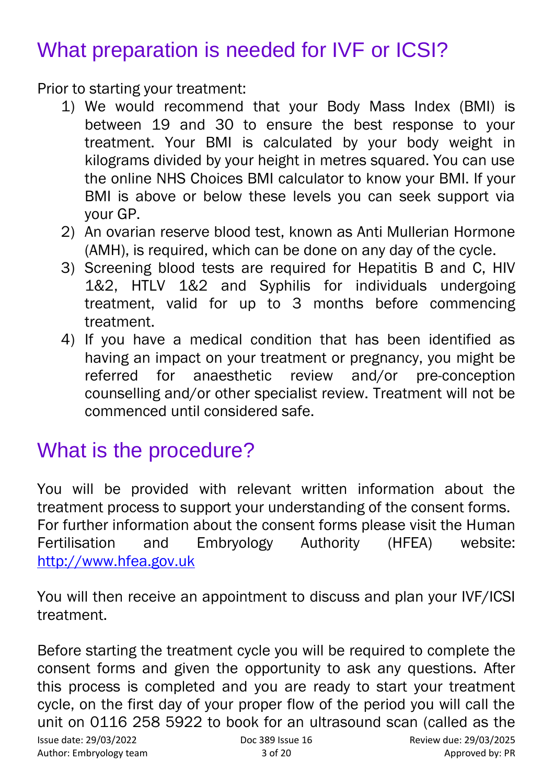## What preparation is needed for IVF or ICSI?

Prior to starting your treatment:

- 1) We would recommend that your Body Mass Index (BMI) is between 19 and 30 to ensure the best response to your treatment. Your BMI is calculated by your body weight in kilograms divided by your height in metres squared. You can use the online NHS Choices BMI calculator to know your BMI. If your BMI is above or below these levels you can seek support via your GP.
- 2) An ovarian reserve blood test, known as Anti Mullerian Hormone (AMH), is required, which can be done on any day of the cycle.
- 3) Screening blood tests are required for Hepatitis B and C, HIV 1&2, HTLV 1&2 and Syphilis for individuals undergoing treatment, valid for up to 3 months before commencing treatment.
- 4) If you have a medical condition that has been identified as having an impact on your treatment or pregnancy, you might be referred for anaesthetic review and/or pre-conception counselling and/or other specialist review. Treatment will not be commenced until considered safe.

### What is the procedure?

You will be provided with relevant written information about the treatment process to support your understanding of the consent forms. For further information about the consent forms please visit the Human Fertilisation and Embryology Authority (HFEA) website: [http://www.hfea.gov.uk](http://www.hfea.gov.uk/)

You will then receive an appointment to discuss and plan your IVF/ICSI treatment.

Before starting the treatment cycle you will be required to complete the consent forms and given the opportunity to ask any questions. After this process is completed and you are ready to start your treatment cycle, on the first day of your proper flow of the period you will call the unit on 0116 258 5922 to book for an ultrasound scan (called as the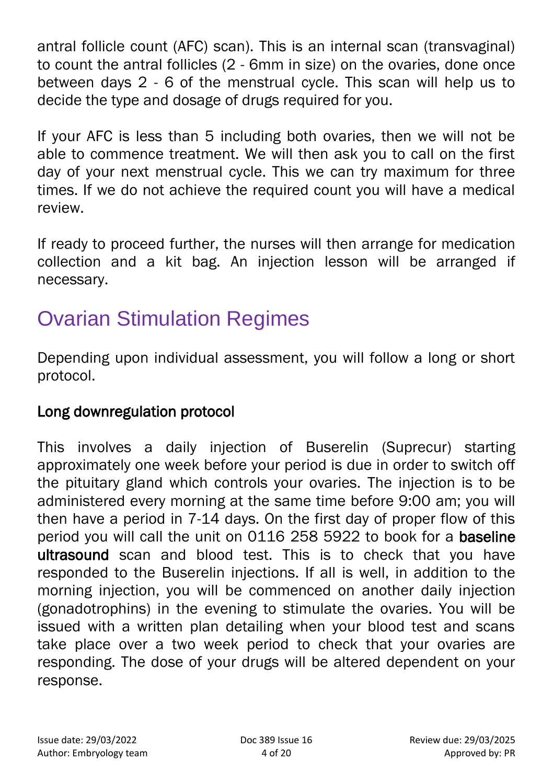antral follicle count (AFC) scan). This is an internal scan (transvaginal) to count the antral follicles (2 - 6mm in size) on the ovaries, done once between days 2 - 6 of the menstrual cycle. This scan will help us to decide the type and dosage of drugs required for you.

If your AFC is less than 5 including both ovaries, then we will not be able to commence treatment. We will then ask you to call on the first day of your next menstrual cycle. This we can try maximum for three times. If we do not achieve the required count you will have a medical review.

If ready to proceed further, the nurses will then arrange for medication collection and a kit bag. An injection lesson will be arranged if necessary.

# Ovarian Stimulation Regimes

Depending upon individual assessment, you will follow a long or short protocol.

#### Long downregulation protocol

This involves a daily injection of Buserelin (Suprecur) starting approximately one week before your period is due in order to switch off the pituitary gland which controls your ovaries. The injection is to be administered every morning at the same time before 9:00 am; you will then have a period in 7-14 days. On the first day of proper flow of this period you will call the unit on 0116 258 5922 to book for a baseline ultrasound scan and blood test. This is to check that you have responded to the Buserelin injections. If all is well, in addition to the morning injection, you will be commenced on another daily injection (gonadotrophins) in the evening to stimulate the ovaries. You will be issued with a written plan detailing when your blood test and scans take place over a two week period to check that your ovaries are responding. The dose of your drugs will be altered dependent on your response.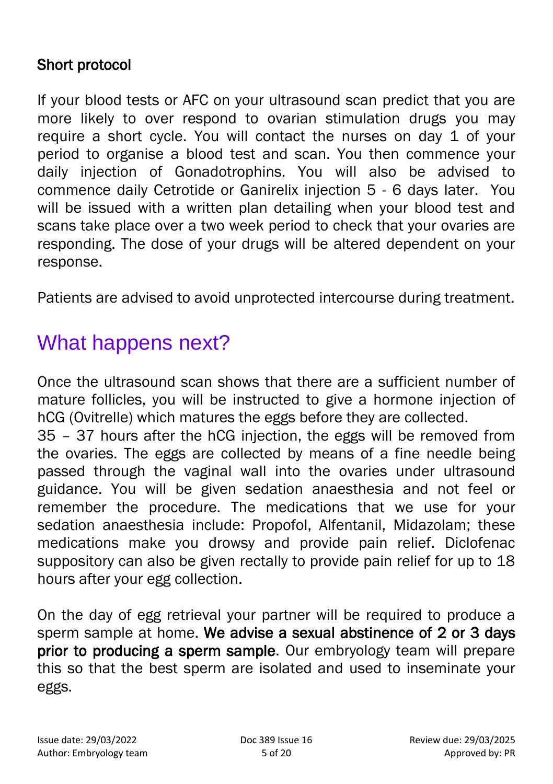### Short protocol

If your blood tests or AFC on your ultrasound scan predict that you are more likely to over respond to ovarian stimulation drugs you may require a short cycle. You will contact the nurses on day 1 of your period to organise a blood test and scan. You then commence your daily injection of Gonadotrophins. You will also be advised to commence daily Cetrotide or Ganirelix injection 5 - 6 days later. You will be issued with a written plan detailing when your blood test and scans take place over a two week period to check that your ovaries are responding. The dose of your drugs will be altered dependent on your response.

Patients are advised to avoid unprotected intercourse during treatment.

## What happens next?

Once the ultrasound scan shows that there are a sufficient number of mature follicles, you will be instructed to give a hormone injection of hCG (Ovitrelle) which matures the eggs before they are collected.

35 – 37 hours after the hCG injection, the eggs will be removed from the ovaries. The eggs are collected by means of a fine needle being passed through the vaginal wall into the ovaries under ultrasound guidance. You will be given sedation anaesthesia and not feel or remember the procedure. The medications that we use for your sedation anaesthesia include: Propofol, Alfentanil, Midazolam; these medications make you drowsy and provide pain relief. Diclofenac suppository can also be given rectally to provide pain relief for up to 18 hours after your egg collection.

On the day of egg retrieval your partner will be required to produce a sperm sample at home. We advise a sexual abstinence of 2 or 3 days prior to producing a sperm sample. Our embryology team will prepare this so that the best sperm are isolated and used to inseminate your eggs.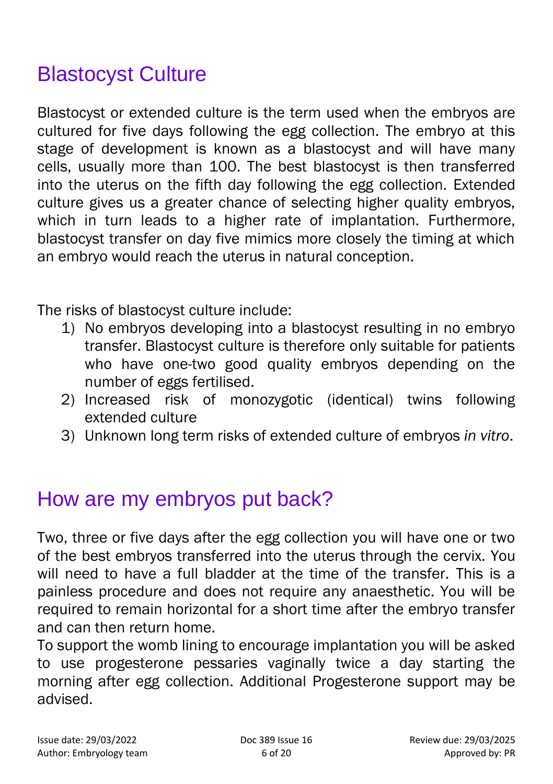## Blastocyst Culture

Blastocyst or extended culture is the term used when the embryos are cultured for five days following the egg collection. The embryo at this stage of development is known as a blastocyst and will have many cells, usually more than 100. The best blastocyst is then transferred into the uterus on the fifth day following the egg collection. Extended culture gives us a greater chance of selecting higher quality embryos, which in turn leads to a higher rate of implantation. Furthermore, blastocyst transfer on day five mimics more closely the timing at which an embryo would reach the uterus in natural conception.

The risks of blastocyst culture include:

- 1) No embryos developing into a blastocyst resulting in no embryo transfer. Blastocyst culture is therefore only suitable for patients who have one-two good quality embryos depending on the number of eggs fertilised.
- 2) Increased risk of monozygotic (identical) twins following extended culture
- 3) Unknown long term risks of extended culture of embryos *in vitro*.

### How are my embryos put back?

Two, three or five days after the egg collection you will have one or two of the best embryos transferred into the uterus through the cervix. You will need to have a full bladder at the time of the transfer. This is a painless procedure and does not require any anaesthetic. You will be required to remain horizontal for a short time after the embryo transfer and can then return home.

To support the womb lining to encourage implantation you will be asked to use progesterone pessaries vaginally twice a day starting the morning after egg collection. Additional Progesterone support may be advised.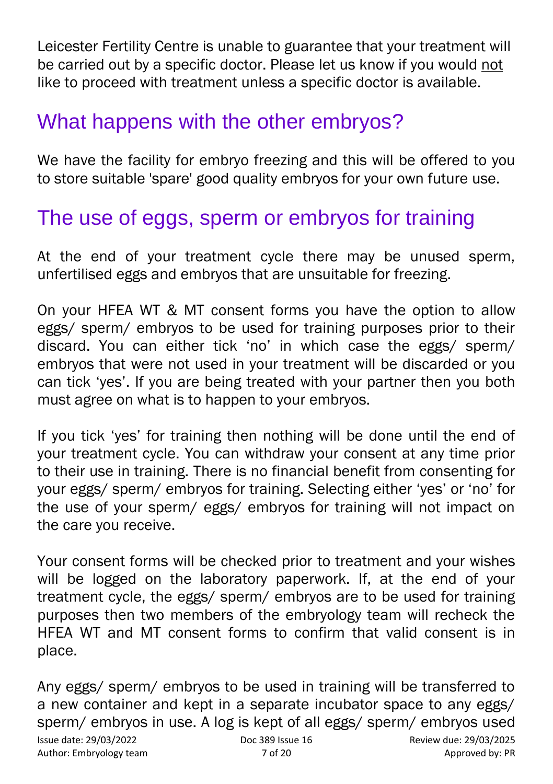Leicester Fertility Centre is unable to guarantee that your treatment will be carried out by a specific doctor. Please let us know if you would not like to proceed with treatment unless a specific doctor is available.

## What happens with the other embryos?

We have the facility for embryo freezing and this will be offered to you to store suitable 'spare' good quality embryos for your own future use.

## The use of eggs, sperm or embryos for training

At the end of your treatment cycle there may be unused sperm, unfertilised eggs and embryos that are unsuitable for freezing.

On your HFEA WT & MT consent forms you have the option to allow eggs/ sperm/ embryos to be used for training purposes prior to their discard. You can either tick 'no' in which case the eggs/ sperm/ embryos that were not used in your treatment will be discarded or you can tick 'yes'. If you are being treated with your partner then you both must agree on what is to happen to your embryos.

If you tick 'yes' for training then nothing will be done until the end of your treatment cycle. You can withdraw your consent at any time prior to their use in training. There is no financial benefit from consenting for your eggs/ sperm/ embryos for training. Selecting either 'yes' or 'no' for the use of your sperm/ eggs/ embryos for training will not impact on the care you receive.

Your consent forms will be checked prior to treatment and your wishes will be logged on the laboratory paperwork. If, at the end of your treatment cycle, the eggs/ sperm/ embryos are to be used for training purposes then two members of the embryology team will recheck the HFEA WT and MT consent forms to confirm that valid consent is in place.

Issue date: 29/03/2022 Doc 389 Issue 16 Review due: 29/03/2025 Author: Embryology team  $\overline{7}$  of 20  $\overline{2}$  Approved by: PR Any eggs/ sperm/ embryos to be used in training will be transferred to a new container and kept in a separate incubator space to any eggs/ sperm/ embryos in use. A log is kept of all eggs/ sperm/ embryos used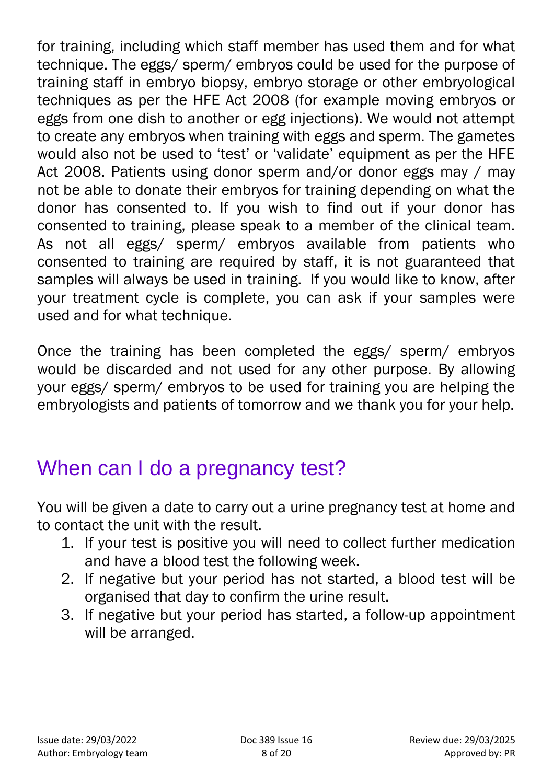for training, including which staff member has used them and for what technique. The eggs/ sperm/ embryos could be used for the purpose of training staff in embryo biopsy, embryo storage or other embryological techniques as per the HFE Act 2008 (for example moving embryos or eggs from one dish to another or egg injections). We would not attempt to create any embryos when training with eggs and sperm. The gametes would also not be used to 'test' or 'validate' equipment as per the HFE Act 2008. Patients using donor sperm and/or donor eggs may / may not be able to donate their embryos for training depending on what the donor has consented to. If you wish to find out if your donor has consented to training, please speak to a member of the clinical team. As not all eggs/ sperm/ embryos available from patients who consented to training are required by staff, it is not guaranteed that samples will always be used in training. If you would like to know, after your treatment cycle is complete, you can ask if your samples were used and for what technique.

Once the training has been completed the eggs/ sperm/ embryos would be discarded and not used for any other purpose. By allowing your eggs/ sperm/ embryos to be used for training you are helping the embryologists and patients of tomorrow and we thank you for your help.

## When can I do a pregnancy test?

You will be given a date to carry out a urine pregnancy test at home and to contact the unit with the result.

- 1. If your test is positive you will need to collect further medication and have a blood test the following week.
- 2. If negative but your period has not started, a blood test will be organised that day to confirm the urine result.
- 3. If negative but your period has started, a follow-up appointment will be arranged.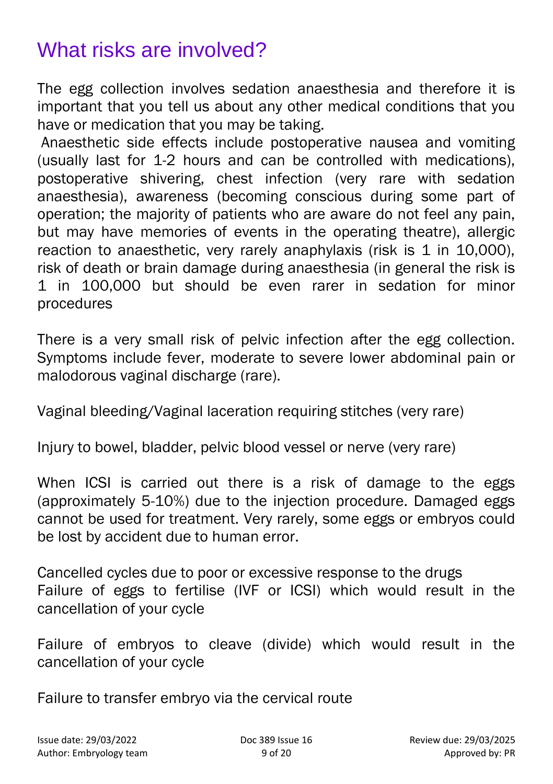## What risks are involved?

The egg collection involves sedation anaesthesia and therefore it is important that you tell us about any other medical conditions that you have or medication that you may be taking.

Anaesthetic side effects include postoperative nausea and vomiting (usually last for 1-2 hours and can be controlled with medications), postoperative shivering, chest infection (very rare with sedation anaesthesia), awareness (becoming conscious during some part of operation; the majority of patients who are aware do not feel any pain, but may have memories of events in the operating theatre), allergic reaction to anaesthetic, very rarely anaphylaxis (risk is 1 in 10,000), risk of death or brain damage during anaesthesia (in general the risk is 1 in 100,000 but should be even rarer in sedation for minor procedures

There is a very small risk of pelvic infection after the egg collection. Symptoms include fever, moderate to severe lower abdominal pain or malodorous vaginal discharge (rare).

Vaginal bleeding/Vaginal laceration requiring stitches (very rare)

Injury to bowel, bladder, pelvic blood vessel or nerve (very rare)

When ICSI is carried out there is a risk of damage to the eggs (approximately 5-10%) due to the injection procedure. Damaged eggs cannot be used for treatment. Very rarely, some eggs or embryos could be lost by accident due to human error.

Cancelled cycles due to poor or excessive response to the drugs Failure of eggs to fertilise (IVF or ICSI) which would result in the cancellation of your cycle

Failure of embryos to cleave (divide) which would result in the cancellation of your cycle

Failure to transfer embryo via the cervical route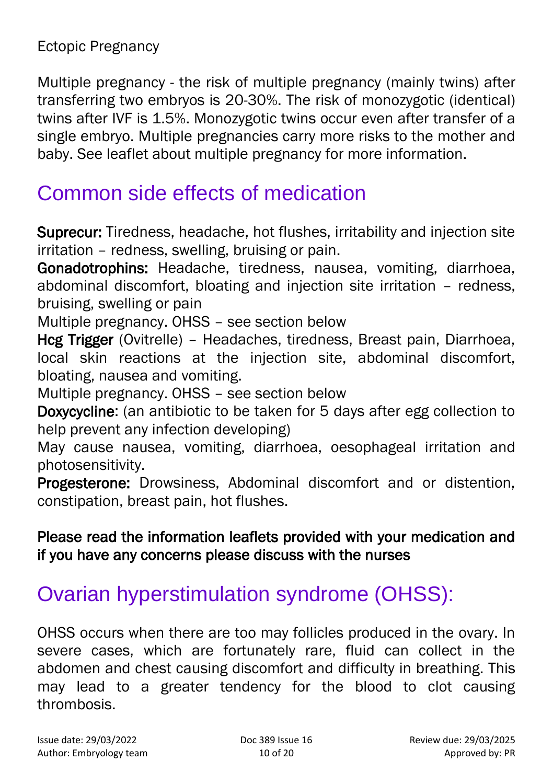Ectopic Pregnancy

Multiple pregnancy - the risk of multiple pregnancy (mainly twins) after transferring two embryos is 20-30%. The risk of monozygotic (identical) twins after IVF is 1.5%. Monozygotic twins occur even after transfer of a single embryo. Multiple pregnancies carry more risks to the mother and baby. See leaflet about multiple pregnancy for more information.

### Common side effects of medication

Suprecur: Tiredness, headache, hot flushes, irritability and injection site irritation – redness, swelling, bruising or pain.

Gonadotrophins: Headache, tiredness, nausea, vomiting, diarrhoea, abdominal discomfort, bloating and injection site irritation – redness, bruising, swelling or pain

Multiple pregnancy. OHSS – see section below

Hcg Trigger (Ovitrelle) – Headaches, tiredness, Breast pain, Diarrhoea, local skin reactions at the injection site, abdominal discomfort, bloating, nausea and vomiting.

Multiple pregnancy. OHSS – see section below

Doxycycline: (an antibiotic to be taken for 5 days after egg collection to help prevent any infection developing)

May cause nausea, vomiting, diarrhoea, oesophageal irritation and photosensitivity.

Progesterone: Drowsiness, Abdominal discomfort and or distention, constipation, breast pain, hot flushes.

#### Please read the information leaflets provided with your medication and if you have any concerns please discuss with the nurses

## Ovarian hyperstimulation syndrome (OHSS):

OHSS occurs when there are too may follicles produced in the ovary. In severe cases, which are fortunately rare, fluid can collect in the abdomen and chest causing discomfort and difficulty in breathing. This may lead to a greater tendency for the blood to clot causing thrombosis.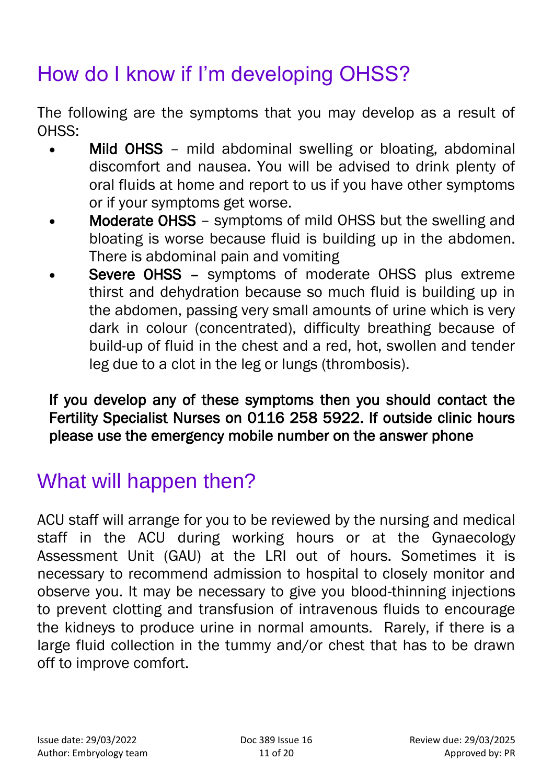## How do I know if I'm developing OHSS?

The following are the symptoms that you may develop as a result of OHSS:

- Mild OHSS mild abdominal swelling or bloating, abdominal discomfort and nausea. You will be advised to drink plenty of oral fluids at home and report to us if you have other symptoms or if your symptoms get worse.
- Moderate OHSS symptoms of mild OHSS but the swelling and bloating is worse because fluid is building up in the abdomen. There is abdominal pain and vomiting
- Severe OHSS symptoms of moderate OHSS plus extreme thirst and dehydration because so much fluid is building up in the abdomen, passing very small amounts of urine which is very dark in colour (concentrated), difficulty breathing because of build-up of fluid in the chest and a red, hot, swollen and tender leg due to a clot in the leg or lungs (thrombosis).

#### If you develop any of these symptoms then you should contact the Fertility Specialist Nurses on 0116 258 5922. If outside clinic hours please use the emergency mobile number on the answer phone

## What will happen then?

ACU staff will arrange for you to be reviewed by the nursing and medical staff in the ACU during working hours or at the Gynaecology Assessment Unit (GAU) at the LRI out of hours. Sometimes it is necessary to recommend admission to hospital to closely monitor and observe you. It may be necessary to give you blood-thinning injections to prevent clotting and transfusion of intravenous fluids to encourage the kidneys to produce urine in normal amounts. Rarely, if there is a large fluid collection in the tummy and/or chest that has to be drawn off to improve comfort.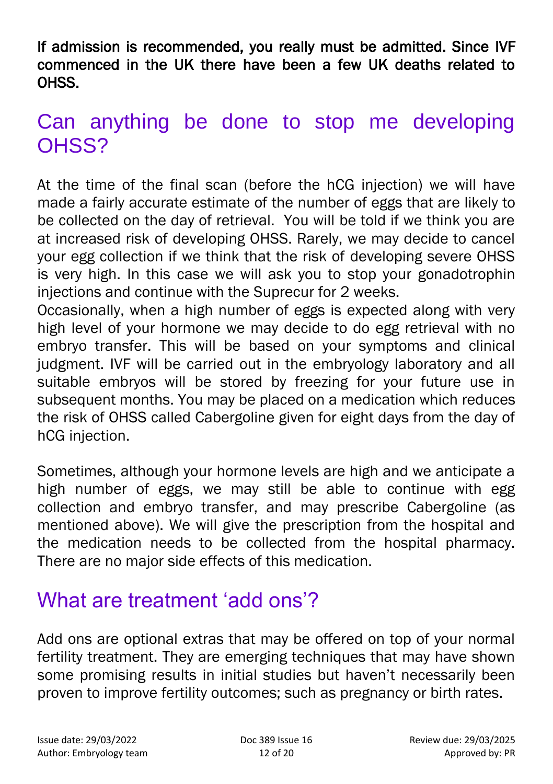If admission is recommended, you really must be admitted. Since IVF commenced in the UK there have been a few UK deaths related to OHSS.

### Can anything be done to stop me developing OHSS?

At the time of the final scan (before the hCG injection) we will have made a fairly accurate estimate of the number of eggs that are likely to be collected on the day of retrieval. You will be told if we think you are at increased risk of developing OHSS. Rarely, we may decide to cancel your egg collection if we think that the risk of developing severe OHSS is very high. In this case we will ask you to stop your gonadotrophin injections and continue with the Suprecur for 2 weeks.

Occasionally, when a high number of eggs is expected along with very high level of your hormone we may decide to do egg retrieval with no embryo transfer. This will be based on your symptoms and clinical judgment. IVF will be carried out in the embryology laboratory and all suitable embryos will be stored by freezing for your future use in subsequent months. You may be placed on a medication which reduces the risk of OHSS called Cabergoline given for eight days from the day of hCG injection.

Sometimes, although your hormone levels are high and we anticipate a high number of eggs, we may still be able to continue with egg collection and embryo transfer, and may prescribe Cabergoline (as mentioned above). We will give the prescription from the hospital and the medication needs to be collected from the hospital pharmacy. There are no major side effects of this medication.

### What are treatment 'add ons'?

Add ons are optional extras that may be offered on top of your normal fertility treatment. They are emerging techniques that may have shown some promising results in initial studies but haven't necessarily been proven to improve fertility outcomes; such as pregnancy or birth rates.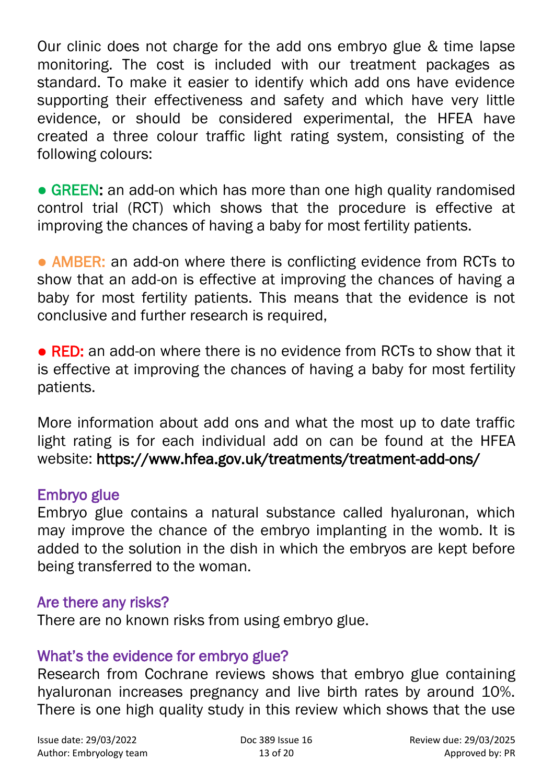Our clinic does not charge for the add ons embryo glue & time lapse monitoring. The cost is included with our treatment packages as standard. To make it easier to identify which add ons have evidence supporting their effectiveness and safety and which have very little evidence, or should be considered experimental, the HFEA have created a three colour traffic light rating system, consisting of the following colours:

• GREEN: an add-on which has more than one high quality randomised control trial (RCT) which shows that the procedure is effective at improving the chances of having a baby for most fertility patients.

• AMBER: an add-on where there is conflicting evidence from RCTs to show that an add-on is effective at improving the chances of having a baby for most fertility patients. This means that the evidence is not conclusive and further research is required,

• RED: an add-on where there is no evidence from RCTs to show that it is effective at improving the chances of having a baby for most fertility patients.

More information about add ons and what the most up to date traffic light rating is for each individual add on can be found at the HFEA website: https://www.hfea.gov.uk/treatments/treatment-add-ons/

#### Embryo glue

Embryo glue contains a natural substance called hyaluronan, which may improve the chance of the embryo implanting in the womb. It is added to the solution in the dish in which the embryos are kept before being transferred to the woman.

#### Are there any risks?

There are no known risks from using embryo glue.

#### What's the evidence for embryo glue?

Research from Cochrane reviews shows that embryo glue containing hyaluronan increases pregnancy and live birth rates by around 10%. There is one high quality study in this review which shows that the use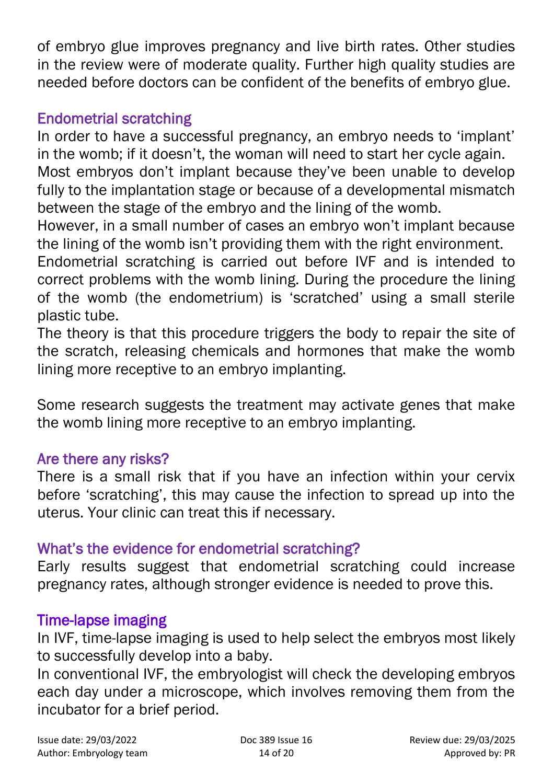of embryo glue improves pregnancy and live birth rates. Other studies in the review were of moderate quality. Further high quality studies are needed before doctors can be confident of the benefits of embryo glue.

#### Endometrial scratching

In order to have a successful pregnancy, an embryo needs to 'implant' in the womb; if it doesn't, the woman will need to start her cycle again. Most embryos don't implant because they've been unable to develop fully to the implantation stage or because of a developmental mismatch between the stage of the embryo and the lining of the womb.

However, in a small number of cases an embryo won't implant because the lining of the womb isn't providing them with the right environment.

Endometrial scratching is carried out before IVF and is intended to correct problems with the womb lining. During the procedure the lining of the womb (the endometrium) is 'scratched' using a small sterile plastic tube.

The theory is that this procedure triggers the body to repair the site of the scratch, releasing chemicals and hormones that make the womb lining more receptive to an embryo implanting.

Some research suggests the treatment may activate genes that make the womb lining more receptive to an embryo implanting.

#### Are there any risks?

There is a small risk that if you have an infection within your cervix before 'scratching', this may cause the infection to spread up into the uterus. Your clinic can treat this if necessary.

#### What's the evidence for endometrial scratching?

Early results suggest that endometrial scratching could increase pregnancy rates, although stronger evidence is needed to prove this.

#### Time-lapse imaging

In IVF, time-lapse imaging is used to help select the embryos most likely to successfully develop into a baby.

In conventional IVF, the embryologist will check the developing embryos each day under a microscope, which involves removing them from the incubator for a brief period.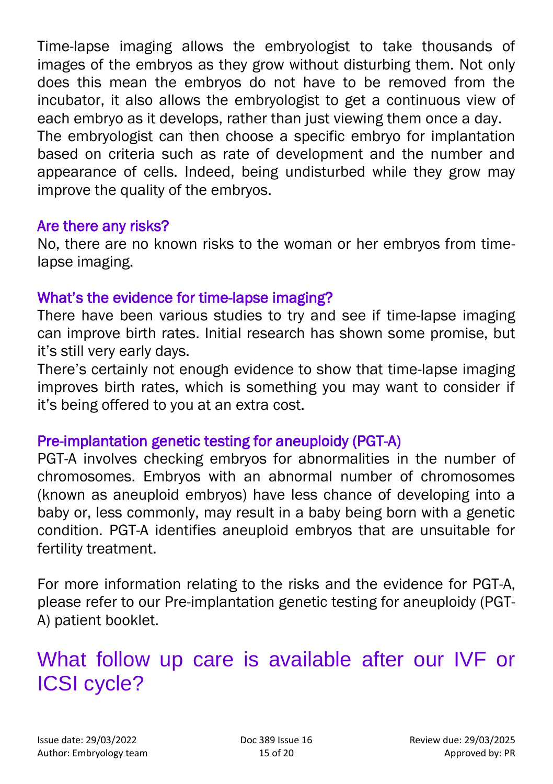Time-lapse imaging allows the embryologist to take thousands of images of the embryos as they grow without disturbing them. Not only does this mean the embryos do not have to be removed from the incubator, it also allows the embryologist to get a continuous view of each embryo as it develops, rather than just viewing them once a day. The embryologist can then choose a specific embryo for implantation based on criteria such as rate of development and the number and appearance of cells. Indeed, being undisturbed while they grow may improve the quality of the embryos.

#### Are there any risks?

No, there are no known risks to the woman or her embryos from timelapse imaging.

#### What's the evidence for time-lapse imaging?

There have been various studies to try and see if time-lapse imaging can improve birth rates. Initial research has shown some promise, but it's still very early days.

There's certainly not enough evidence to show that time-lapse imaging improves birth rates, which is something you may want to consider if it's being offered to you at an extra cost.

#### Pre-implantation genetic testing for aneuploidy (PGT-A)

PGT-A involves checking embryos for abnormalities in the number of chromosomes. Embryos with an abnormal number of chromosomes (known as aneuploid embryos) have less chance of developing into a baby or, less commonly, may result in a baby being born with a genetic condition. PGT-A identifies aneuploid embryos that are unsuitable for fertility treatment.

For more information relating to the risks and the evidence for PGT-A, please refer to our Pre-implantation genetic testing for aneuploidy (PGT-A) patient booklet.

### What follow up care is available after our IVF or ICSI cycle?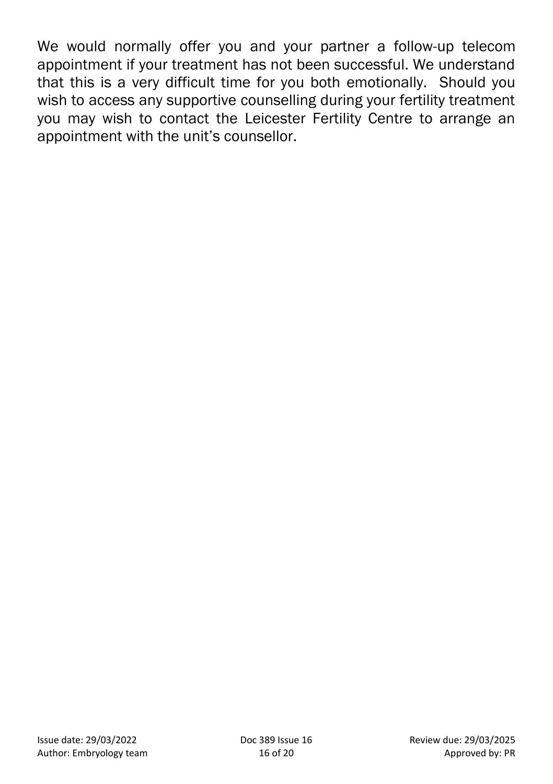We would normally offer you and your partner a follow-up telecom appointment if your treatment has not been successful. We understand that this is a very difficult time for you both emotionally. Should you wish to access any supportive counselling during your fertility treatment you may wish to contact the Leicester Fertility Centre to arrange an appointment with the unit's counsellor.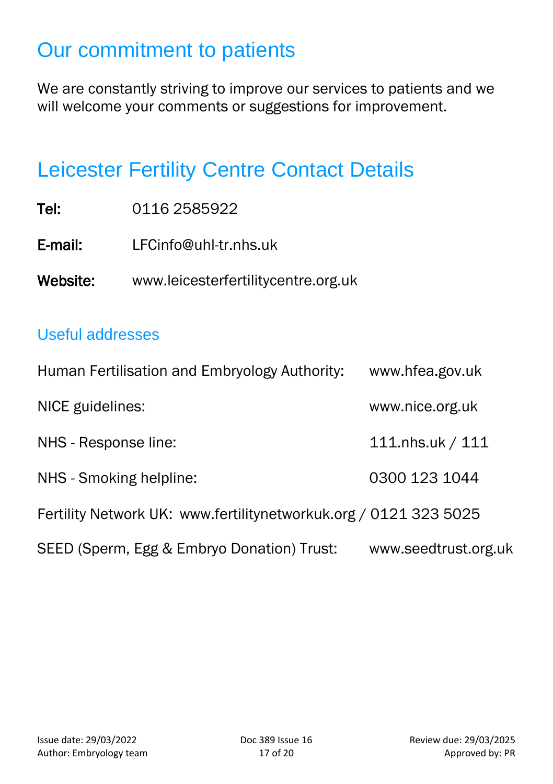## Our commitment to patients

We are constantly striving to improve our services to patients and we will welcome your comments or suggestions for improvement.

### Leicester Fertility Centre Contact Details

| Tel:     | 0116 2585922                        |
|----------|-------------------------------------|
| E-mail:  | LFCinfo@uhl-tr.nhs.uk               |
| Website: | www.leicesterfertilitycentre.org.uk |

### Useful addresses

| Human Fertilisation and Embryology Authority:                    | www.hfea.gov.uk      |
|------------------------------------------------------------------|----------------------|
| NICE guidelines:                                                 | www.nice.org.uk      |
| NHS - Response line:                                             | 111.nhs.uk / 111     |
| NHS - Smoking helpline:                                          | 0300 123 1044        |
| Fertility Network UK: www.fertilitynetworkuk.org / 0121 323 5025 |                      |
| SEED (Sperm, Egg & Embryo Donation) Trust:                       | www.seedtrust.org.uk |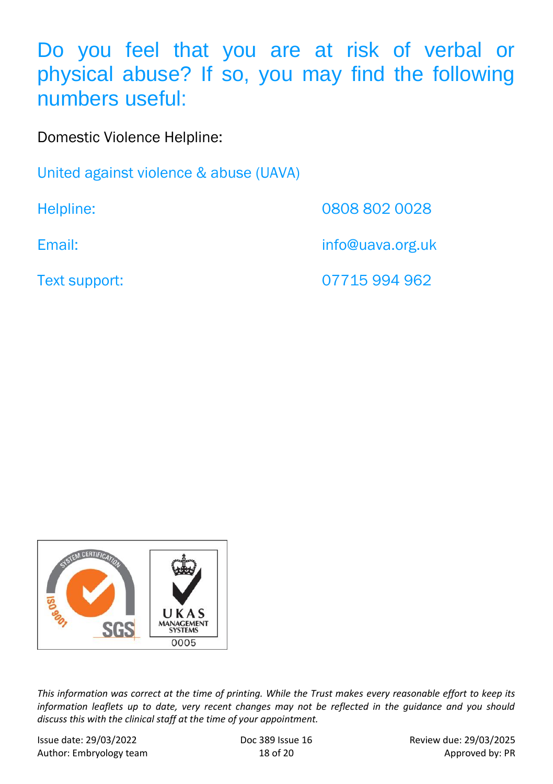Do you feel that you are at risk of verbal or physical abuse? If so, you may find the following numbers useful:

Domestic Violence Helpline:

United against violence & abuse (UAVA)

Helpline: 0808 802 0028

Email: info@uava.org.uk

Text support: 07715 994 962



*This information was correct at the time of printing. While the Trust makes every reasonable effort to keep its information leaflets up to date, very recent changes may not be reflected in the guidance and you should discuss this with the clinical staff at the time of your appointment.*

Issue date: 29/03/2022 Doc 389 Issue 16 Review due: 29/03/2025 Author: Embryology team 18 of 20 Approved by: PR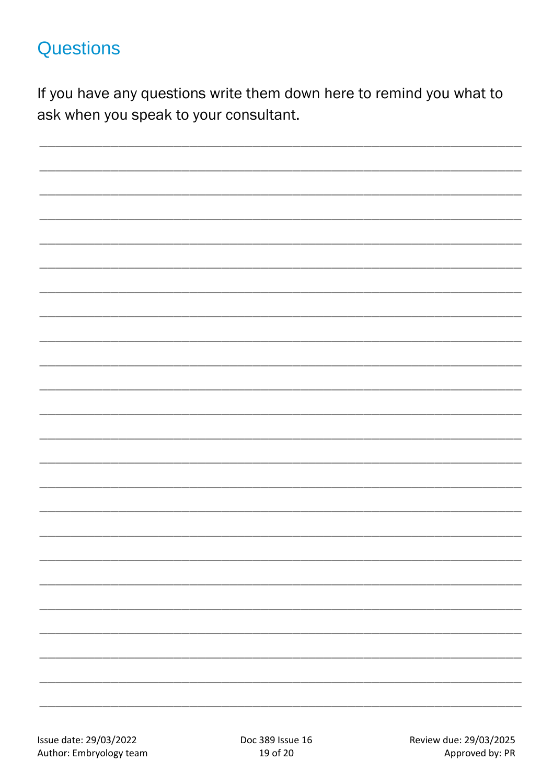### **Questions**

If you have any questions write them down here to remind you what to ask when you speak to your consultant.